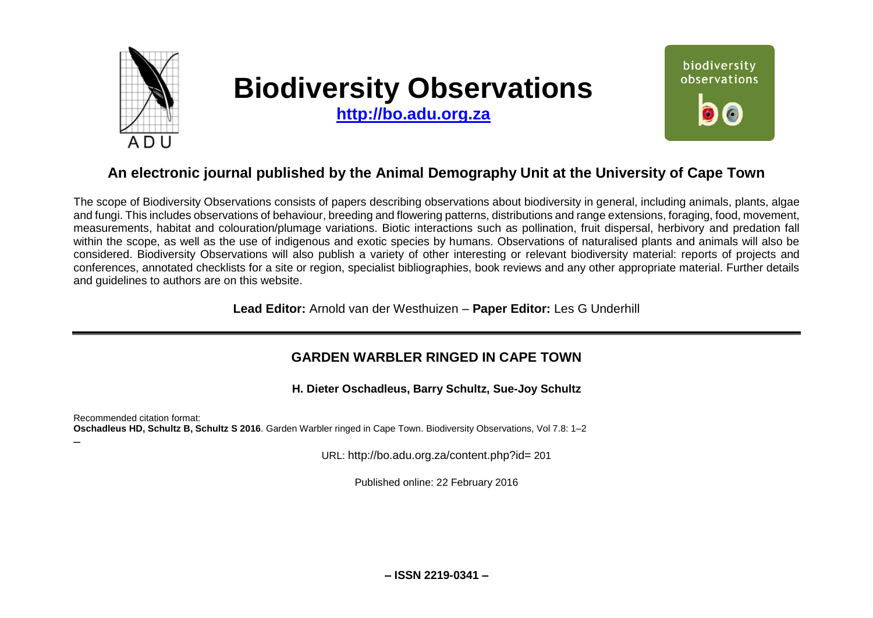

–

# **Biodiversity Observations**

**[http://bo.adu.org.za](http://bo.adu.org.za/)**



# **An electronic journal published by the Animal Demography Unit at the University of Cape Town**

The scope of Biodiversity Observations consists of papers describing observations about biodiversity in general, including animals, plants, algae and fungi. This includes observations of behaviour, breeding and flowering patterns, distributions and range extensions, foraging, food, movement, measurements, habitat and colouration/plumage variations. Biotic interactions such as pollination, fruit dispersal, herbivory and predation fall within the scope, as well as the use of indigenous and exotic species by humans. Observations of naturalised plants and animals will also be considered. Biodiversity Observations will also publish a variety of other interesting or relevant biodiversity material: reports of projects and conferences, annotated checklists for a site or region, specialist bibliographies, book reviews and any other appropriate material. Further details and guidelines to authors are on this website.

**Lead Editor:** Arnold van der Westhuizen – **Paper Editor:** Les G Underhill

### **GARDEN WARBLER RINGED IN CAPE TOWN**

**H. Dieter Oschadleus, Barry Schultz, Sue-Joy Schultz**

Recommended citation format: **Oschadleus HD, Schultz B, Schultz S 2016**. Garden Warbler ringed in Cape Town. Biodiversity Observations, Vol 7.8: 1–2

URL: http://bo.adu.org.za/content.php?id= 201

Published online: 22 February 2016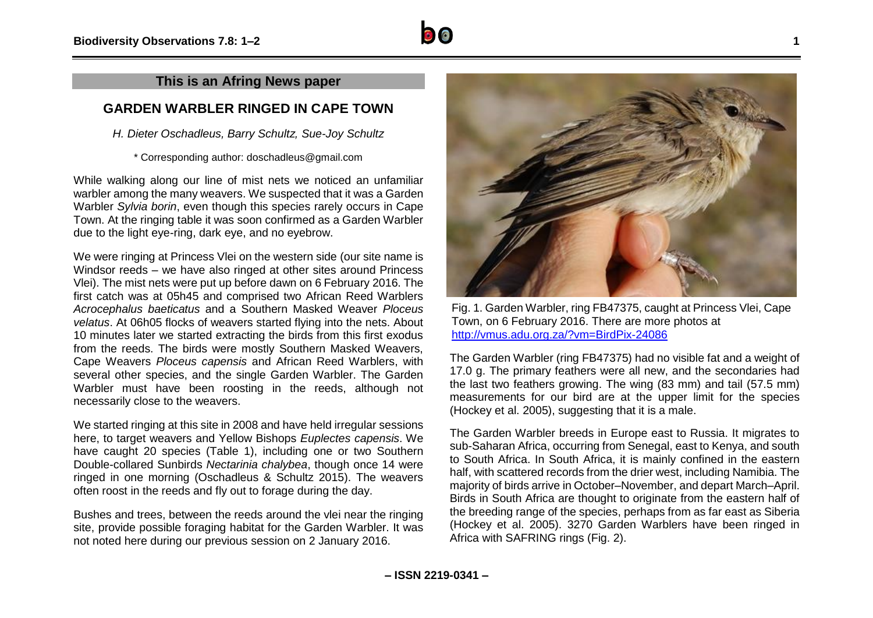#### **This is an Afring News paper**

## **GARDEN WARBLER RINGED IN CAPE TOWN**

*H. Dieter Oschadleus, Barry Schultz, Sue-Joy Schultz*

\* Corresponding author: doschadleus@gmail.com

While walking along our line of mist nets we noticed an unfamiliar warbler among the many weavers. We suspected that it was a Garden Warbler *Sylvia borin*, even though this species rarely occurs in Cape Town. At the ringing table it was soon confirmed as a Garden Warbler due to the light eye-ring, dark eye, and no eyebrow.

We were ringing at Princess Vlei on the western side (our site name is Windsor reeds – we have also ringed at other sites around Princess Vlei). The mist nets were put up before dawn on 6 February 2016. The first catch was at 05h45 and comprised two African Reed Warblers *Acrocephalus baeticatus* and a Southern Masked Weaver *Ploceus velatus*. At 06h05 flocks of weavers started flying into the nets. About 10 minutes later we started extracting the birds from this first exodus from the reeds. The birds were mostly Southern Masked Weavers, Cape Weavers *Ploceus capensis* and African Reed Warblers, with several other species, and the single Garden Warbler. The Garden Warbler must have been roosting in the reeds, although not necessarily close to the weavers.

We started ringing at this site in 2008 and have held irregular sessions here, to target weavers and Yellow Bishops *Euplectes capensis*. We have caught 20 species (Table 1), including one or two Southern Double-collared Sunbirds *Nectarinia chalybea*, though once 14 were ringed in one morning (Oschadleus & Schultz 2015). The weavers often roost in the reeds and fly out to forage during the day.

Bushes and trees, between the reeds around the vlei near the ringing site, provide possible foraging habitat for the Garden Warbler. It was not noted here during our previous session on 2 January 2016.



Fig. 1. Garden Warbler, ring FB47375, caught at Princess Vlei, Cape Town, on 6 February 2016. There are more photos at <http://vmus.adu.org.za/?vm=BirdPix-24086>

The Garden Warbler (ring FB47375) had no visible fat and a weight of 17.0 g. The primary feathers were all new, and the secondaries had the last two feathers growing. The wing (83 mm) and tail (57.5 mm) measurements for our bird are at the upper limit for the species (Hockey et al. 2005), suggesting that it is a male.

The Garden Warbler breeds in Europe east to Russia. It migrates to sub-Saharan Africa, occurring from Senegal, east to Kenya, and south to South Africa. In South Africa, it is mainly confined in the eastern half, with scattered records from the drier west, including Namibia. The majority of birds arrive in October–November, and depart March–April. Birds in South Africa are thought to originate from the eastern half of the breeding range of the species, perhaps from as far east as Siberia (Hockey et al. 2005). 3270 Garden Warblers have been ringed in Africa with SAFRING rings (Fig. 2).